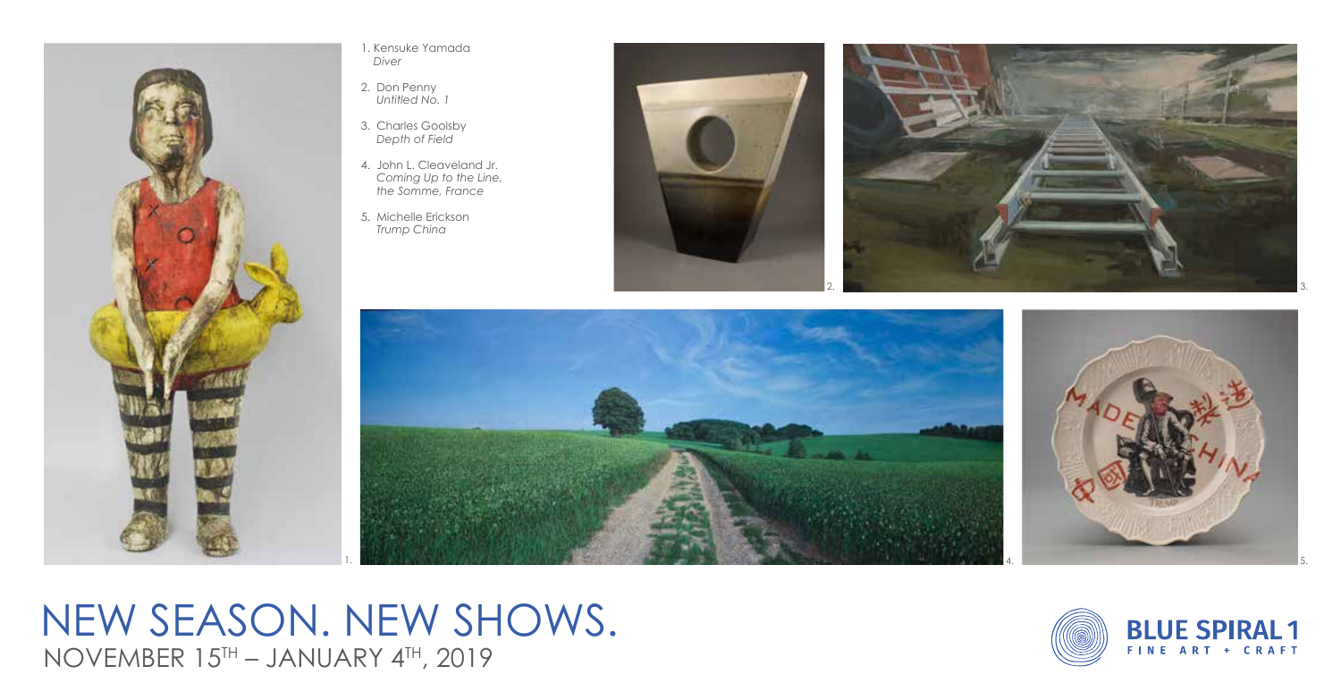

1. Kensuke Yamada *Diver*

- 2. Don Penny  *Untitled No. 1*
- 3. Charles Goolsby  *Depth of Field*
- 4. John L. Cleaveland Jr.  *Coming Up to the Line, the Somme, France*
- 5. Michelle Erickson  *Trump China*









NEW SEASON. NEW SHOWS. NOVEMBER 15TH – JANUARY 4TH, 2019

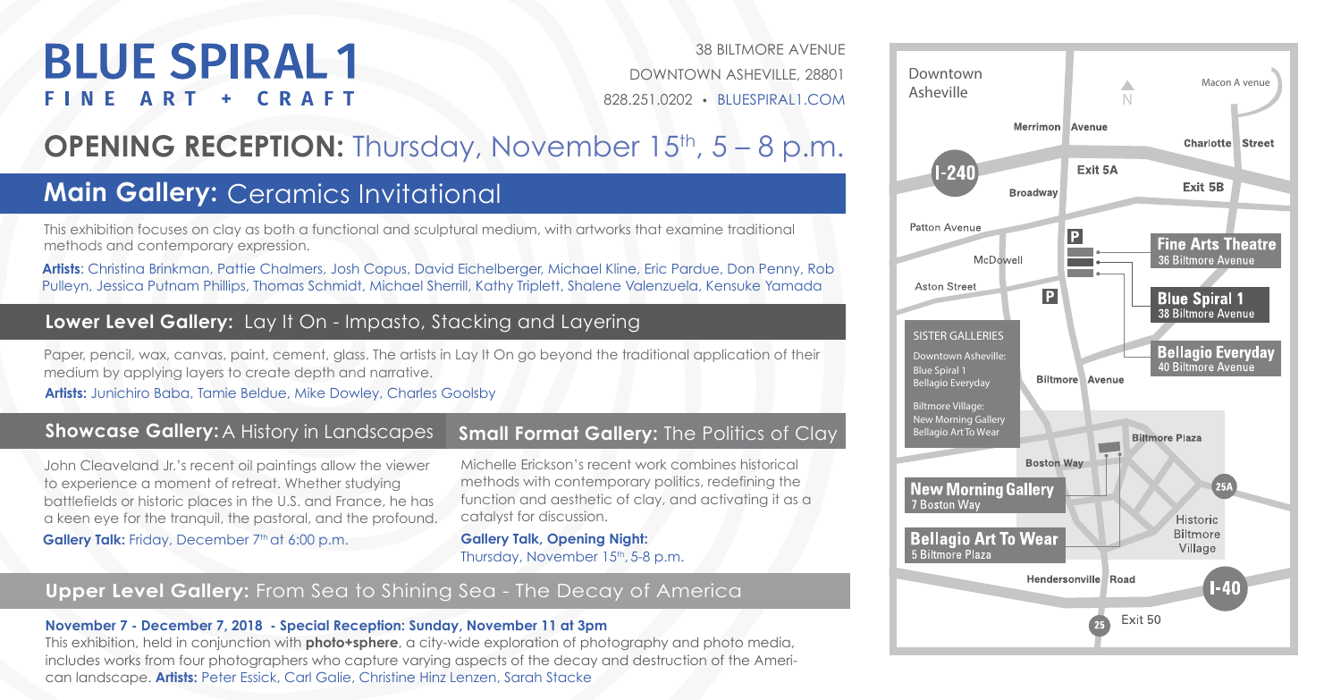# **BLUE SPIRAL1** FINE ART + CRAFT

38 BILTMORE AVENUE DOWNTOWN ASHEVILLE, 28801 828.251.0202 • BLUESPIRAL1.COM

## **OPENING RECEPTION:** Thursday, November 15<sup>th</sup>, 5 – 8 p.m.

## **Main Gallery:** Ceramics Invitational

This exhibition focuses on clay as both a functional and sculptural medium, with artworks that examine traditional methods and contemporary expression.

**Artists**: Christina Brinkman, Pattie Chalmers, Josh Copus, David Eichelberger, Michael Kline, Eric Pardue, Don Penny, Rob Pulleyn, Jessica Putnam Phillips, Thomas Schmidt, Michael Sherrill, Kathy Triplett, Shalene Valenzuela, Kensuke Yamada

### **Lower Level Gallery:** Lay It On - Impasto, Stacking and Layering

Paper, pencil, wax, canvas, paint, cement, glass. The artists in Lay It On go beyond the traditional application of their medium by applying layers to create depth and narrative.

**Artists:** Junichiro Baba, Tamie Beldue, Mike Dowley, Charles Goolsby

#### **Showcase Gallery: A History in Landscapes**

John Cleaveland Jr.'s recent oil paintings allow the viewer to experience a moment of retreat. Whether studying battlefields or historic places in the U.S. and France, he has a keen eye for the tranquil, the pastoral, and the profound.

#### Gallery Talk: Friday, December 7<sup>th</sup> at 6:00 p.m.

### **Small Format Gallery: The Politics of Clay**

Michelle Erickson's recent work combines historical methods with contemporary politics, redefining the function and aesthetic of clay, and activating it as a catalyst for discussion.

**Gallery Talk, Opening Night:**  Thursday, November 15<sup>th</sup>, 5-8 p.m.

#### **Upper Level Gallery:** From Sea to Shining Sea - The Decay of America

#### **November 7 - December 7, 2018 - Special Reception: Sunday, November 11 at 3pm**

This exhibition, held in conjunction with **photo+sphere**, a city-wide exploration of photography and photo media, includes works from four photographers who capture varying aspects of the decay and destruction of the American landscape. **Artists:** Peter Essick, Carl Galie, Christine Hinz Lenzen, Sarah Stacke